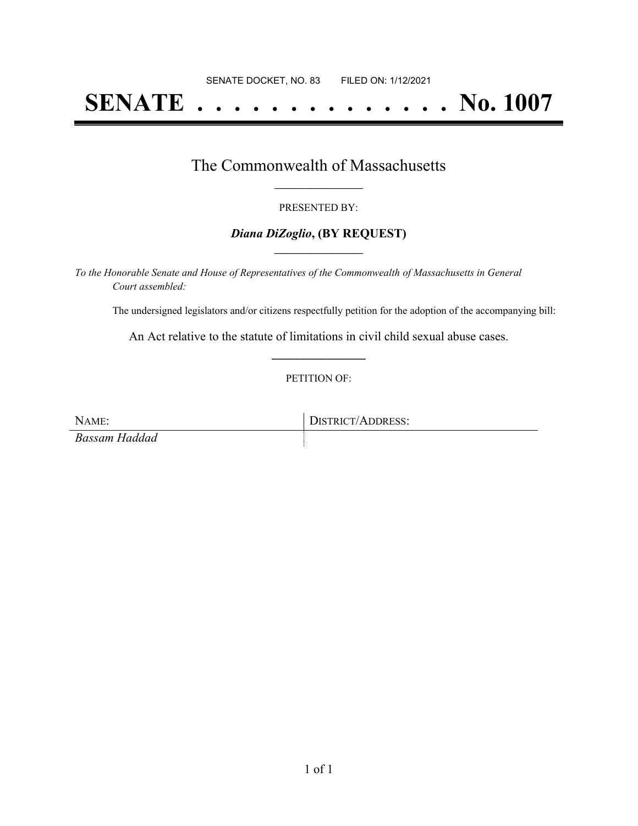# **SENATE . . . . . . . . . . . . . . No. 1007**

## The Commonwealth of Massachusetts **\_\_\_\_\_\_\_\_\_\_\_\_\_\_\_\_\_**

#### PRESENTED BY:

#### *Diana DiZoglio***, (BY REQUEST) \_\_\_\_\_\_\_\_\_\_\_\_\_\_\_\_\_**

*To the Honorable Senate and House of Representatives of the Commonwealth of Massachusetts in General Court assembled:*

The undersigned legislators and/or citizens respectfully petition for the adoption of the accompanying bill:

An Act relative to the statute of limitations in civil child sexual abuse cases. **\_\_\_\_\_\_\_\_\_\_\_\_\_\_\_**

#### PETITION OF:

NAME: DISTRICT/ADDRESS: *Bassam Haddad*